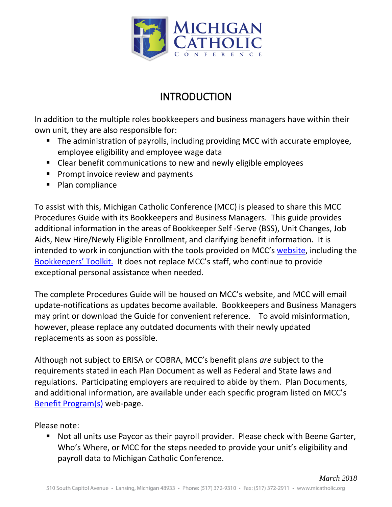

## **INTRODUCTION**

In addition to the multiple roles bookkeepers and business managers have within their own unit, they are also responsible for:

- The administration of payrolls, including providing MCC with accurate employee, employee eligibility and employee wage data
- Clear benefit communications to new and newly eligible employees
- Prompt invoice review and payments
- Plan compliance

To assist with this, Michigan Catholic Conference (MCC) is pleased to share this MCC Procedures Guide with its Bookkeepers and Business Managers. This guide provides additional information in the areas of Bookkeeper Self -Serve (BSS), Unit Changes, Job Aids, New Hire/Newly Eligible Enrollment, and clarifying benefit information. It is intended to work in conjunction with the tools provided on MCC's [website,](http://www.micatholic.org/) including the [Bookkeepers' Toolkit](http://www.micatholic.org/benefits/bookkeepers-toolkit/). It does not replace MCC's staff, who continue to provide exceptional personal assistance when needed.

The complete Procedures Guide will be housed on MCC's website, and MCC will email update-notifications as updates become available. Bookkeepers and Business Managers may print or download the Guide for convenient reference. To avoid misinformation, however, please replace any outdated documents with their newly updated replacements as soon as possible.

Although not subject to ERISA or COBRA, MCC's benefit plans *are* subject to the requirements stated in each Plan Document as well as Federal and State laws and regulations. Participating employers are required to abide by them. Plan Documents, and additional information, are available under each specific program listed on MCC's [Benefit Program\(s\)](http://www.micatholic.org/benefits/benefit-programs/) web-page.

Please note:

■ Not all units use Paycor as their payroll provider. Please check with Beene Garter, Who's Where, or MCC for the steps needed to provide your unit's eligibility and payroll data to Michigan Catholic Conference.